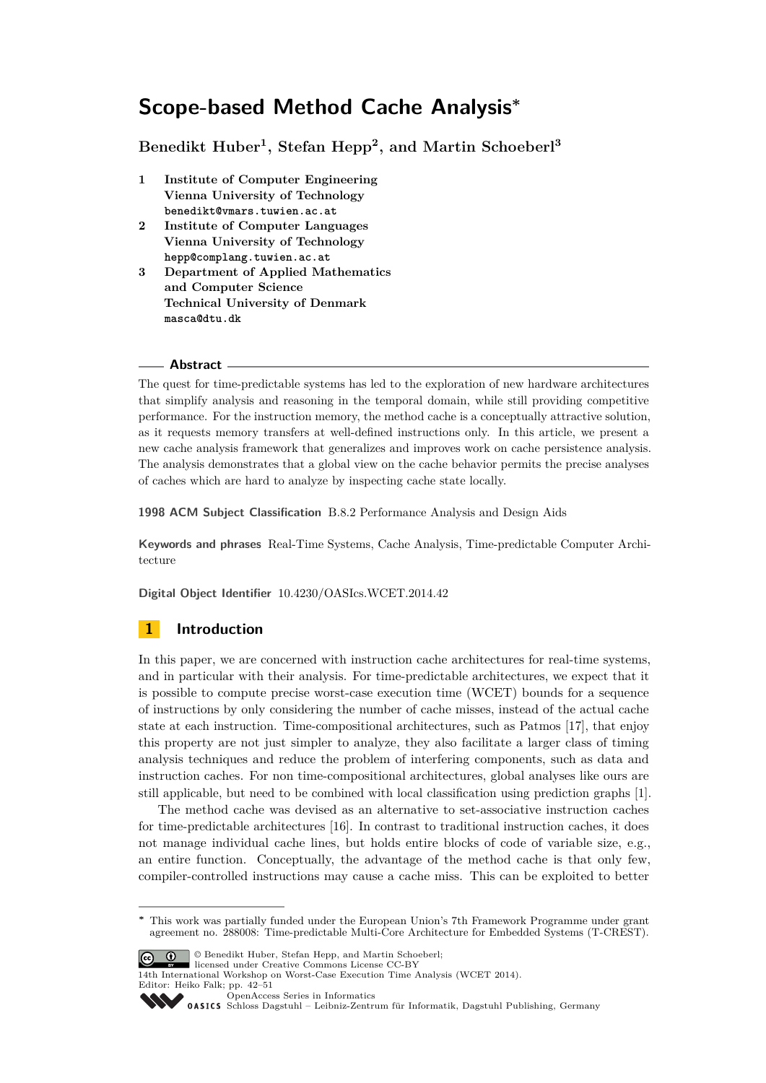# **Scope-based Method Cache Analysis<sup>∗</sup>**

**Benedikt Huber<sup>1</sup> , Stefan Hepp<sup>2</sup> , and Martin Schoeberl<sup>3</sup>**

- **1 Institute of Computer Engineering Vienna University of Technology benedikt@vmars.tuwien.ac.at**
- **2 Institute of Computer Languages Vienna University of Technology hepp@complang.tuwien.ac.at**
- **3 Department of Applied Mathematics and Computer Science Technical University of Denmark masca@dtu.dk**

#### **Abstract**

The quest for time-predictable systems has led to the exploration of new hardware architectures that simplify analysis and reasoning in the temporal domain, while still providing competitive performance. For the instruction memory, the method cache is a conceptually attractive solution, as it requests memory transfers at well-defined instructions only. In this article, we present a new cache analysis framework that generalizes and improves work on cache persistence analysis. The analysis demonstrates that a global view on the cache behavior permits the precise analyses of caches which are hard to analyze by inspecting cache state locally.

**1998 ACM Subject Classification** B.8.2 Performance Analysis and Design Aids

**Keywords and phrases** Real-Time Systems, Cache Analysis, Time-predictable Computer Architecture

**Digital Object Identifier** [10.4230/OASIcs.WCET.2014.42](http://dx.doi.org/10.4230/OASIcs.WCET.2014.42)

# **1 Introduction**

In this paper, we are concerned with instruction cache architectures for real-time systems, and in particular with their analysis. For time-predictable architectures, we expect that it is possible to compute precise worst-case execution time (WCET) bounds for a sequence of instructions by only considering the number of cache misses, instead of the actual cache state at each instruction. Time-compositional architectures, such as Patmos [\[17\]](#page-9-0), that enjoy this property are not just simpler to analyze, they also facilitate a larger class of timing analysis techniques and reduce the problem of interfering components, such as data and instruction caches. For non time-compositional architectures, global analyses like ours are still applicable, but need to be combined with local classification using prediction graphs [\[1\]](#page-8-0).

The method cache was devised as an alternative to set-associative instruction caches for time-predictable architectures [\[16\]](#page-9-1). In contrast to traditional instruction caches, it does not manage individual cache lines, but holds entire blocks of code of variable size, e.g., an entire function. Conceptually, the advantage of the method cache is that only few, compiler-controlled instructions may cause a cache miss. This can be exploited to better

**<sup>∗</sup>** This work was partially funded under the European Union's 7th Framework Programme under grant agreement no. 288008: Time-predictable Multi-Core Architecture for Embedded Systems (T-CREST).



licensed under Creative Commons License CC-BY 14th International Workshop on Worst-Case Execution Time Analysis (WCET 2014).

Editor: Heiko Falk; pp. 42[–51](#page-9-2) [OpenAccess Series in Informatics](http://www.dagstuhl.de/oasics/)

OASICS [Schloss Dagstuhl – Leibniz-Zentrum für Informatik, Dagstuhl Publishing, Germany](http://www.dagstuhl.de/)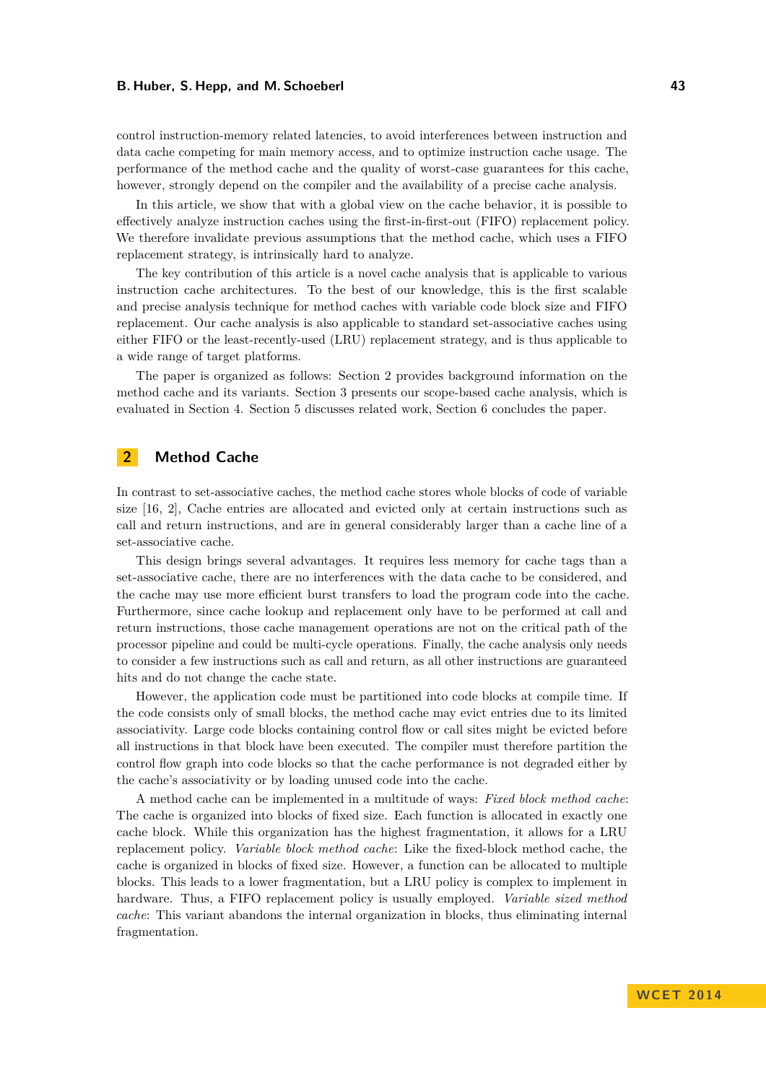#### **B. Huber, S. Hepp, and M. Schoeberl 43**

control instruction-memory related latencies, to avoid interferences between instruction and data cache competing for main memory access, and to optimize instruction cache usage. The performance of the method cache and the quality of worst-case guarantees for this cache, however, strongly depend on the compiler and the availability of a precise cache analysis.

In this article, we show that with a global view on the cache behavior, it is possible to effectively analyze instruction caches using the first-in-first-out (FIFO) replacement policy. We therefore invalidate previous assumptions that the method cache, which uses a FIFO replacement strategy, is intrinsically hard to analyze.

The key contribution of this article is a novel cache analysis that is applicable to various instruction cache architectures. To the best of our knowledge, this is the first scalable and precise analysis technique for method caches with variable code block size and FIFO replacement. Our cache analysis is also applicable to standard set-associative caches using either FIFO or the least-recently-used (LRU) replacement strategy, and is thus applicable to a wide range of target platforms.

The paper is organized as follows: Section [2](#page-1-0) provides background information on the method cache and its variants. Section [3](#page-2-0) presents our scope-based cache analysis, which is evaluated in Section [4.](#page-6-0) Section [5](#page-7-0) discusses related work, Section [6](#page-8-1) concludes the paper.

# <span id="page-1-0"></span>**2 Method Cache**

In contrast to set-associative caches, the method cache stores whole blocks of code of variable size [\[16,](#page-9-1) [2\]](#page-8-2), Cache entries are allocated and evicted only at certain instructions such as call and return instructions, and are in general considerably larger than a cache line of a set-associative cache.

This design brings several advantages. It requires less memory for cache tags than a set-associative cache, there are no interferences with the data cache to be considered, and the cache may use more efficient burst transfers to load the program code into the cache. Furthermore, since cache lookup and replacement only have to be performed at call and return instructions, those cache management operations are not on the critical path of the processor pipeline and could be multi-cycle operations. Finally, the cache analysis only needs to consider a few instructions such as call and return, as all other instructions are guaranteed hits and do not change the cache state.

However, the application code must be partitioned into code blocks at compile time. If the code consists only of small blocks, the method cache may evict entries due to its limited associativity. Large code blocks containing control flow or call sites might be evicted before all instructions in that block have been executed. The compiler must therefore partition the control flow graph into code blocks so that the cache performance is not degraded either by the cache's associativity or by loading unused code into the cache.

A method cache can be implemented in a multitude of ways: *Fixed block method cache*: The cache is organized into blocks of fixed size. Each function is allocated in exactly one cache block. While this organization has the highest fragmentation, it allows for a LRU replacement policy. *Variable block method cache*: Like the fixed-block method cache, the cache is organized in blocks of fixed size. However, a function can be allocated to multiple blocks. This leads to a lower fragmentation, but a LRU policy is complex to implement in hardware. Thus, a FIFO replacement policy is usually employed. *Variable sized method cache*: This variant abandons the internal organization in blocks, thus eliminating internal fragmentation.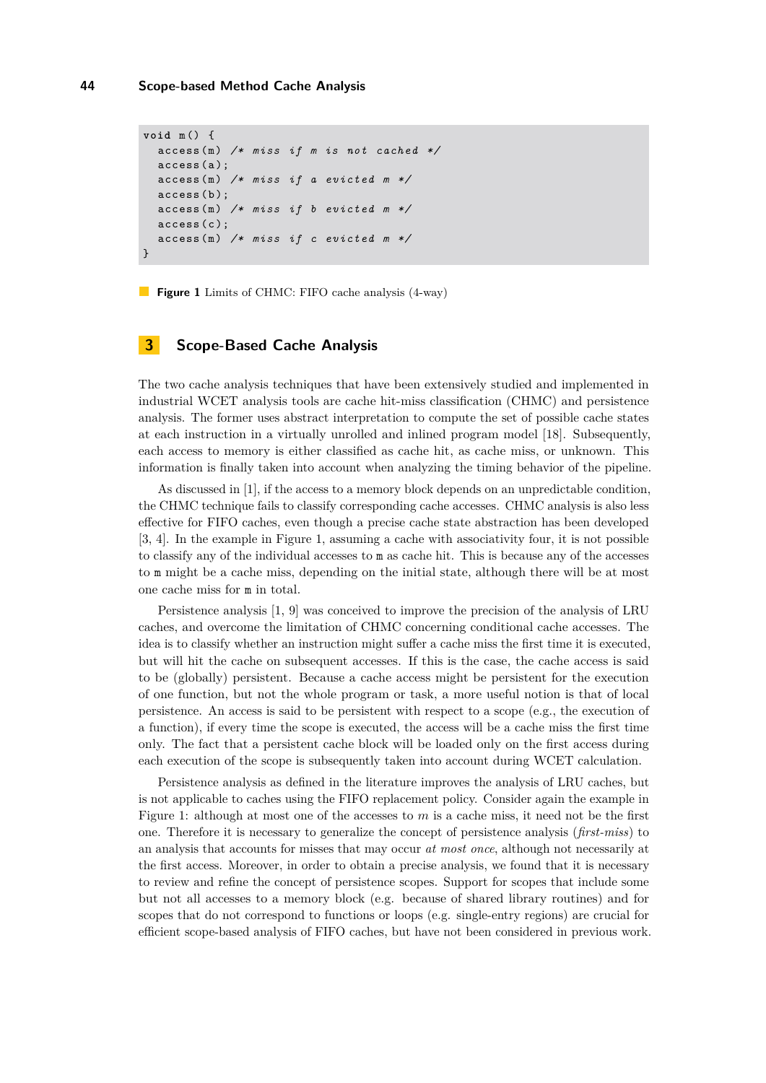```
void m () {
  access (m) /* miss if m is not cached */
  access(a);
  access (m) /* miss if a evicted m */
  access (b):
  \arccos(n) /* miss if b evicted m */
  access(c);
  access (m) /* miss if c evicted m */
}
```
**Figure 1** Limits of CHMC: FIFO cache analysis (4-way)

## <span id="page-2-0"></span>**3 Scope-Based Cache Analysis**

The two cache analysis techniques that have been extensively studied and implemented in industrial WCET analysis tools are cache hit-miss classification (CHMC) and persistence analysis. The former uses abstract interpretation to compute the set of possible cache states at each instruction in a virtually unrolled and inlined program model [\[18\]](#page-9-3). Subsequently, each access to memory is either classified as cache hit, as cache miss, or unknown. This information is finally taken into account when analyzing the timing behavior of the pipeline.

As discussed in [\[1\]](#page-8-0), if the access to a memory block depends on an unpredictable condition, the CHMC technique fails to classify corresponding cache accesses. CHMC analysis is also less effective for FIFO caches, even though a precise cache state abstraction has been developed [\[3,](#page-8-3) [4\]](#page-9-4). In the example in Figure [1,](#page-2-1) assuming a cache with associativity four, it is not possible to classify any of the individual accesses to m as cache hit. This is because any of the accesses to m might be a cache miss, depending on the initial state, although there will be at most one cache miss for m in total.

Persistence analysis [\[1,](#page-8-0) [9\]](#page-9-5) was conceived to improve the precision of the analysis of LRU caches, and overcome the limitation of CHMC concerning conditional cache accesses. The idea is to classify whether an instruction might suffer a cache miss the first time it is executed, but will hit the cache on subsequent accesses. If this is the case, the cache access is said to be (globally) persistent. Because a cache access might be persistent for the execution of one function, but not the whole program or task, a more useful notion is that of local persistence. An access is said to be persistent with respect to a scope (e.g., the execution of a function), if every time the scope is executed, the access will be a cache miss the first time only. The fact that a persistent cache block will be loaded only on the first access during each execution of the scope is subsequently taken into account during WCET calculation.

Persistence analysis as defined in the literature improves the analysis of LRU caches, but is not applicable to caches using the FIFO replacement policy. Consider again the example in Figure [1:](#page-2-1) although at most one of the accesses to *m* is a cache miss, it need not be the first one. Therefore it is necessary to generalize the concept of persistence analysis (*first-miss*) to an analysis that accounts for misses that may occur *at most once*, although not necessarily at the first access. Moreover, in order to obtain a precise analysis, we found that it is necessary to review and refine the concept of persistence scopes. Support for scopes that include some but not all accesses to a memory block (e.g. because of shared library routines) and for scopes that do not correspond to functions or loops (e.g. single-entry regions) are crucial for efficient scope-based analysis of FIFO caches, but have not been considered in previous work.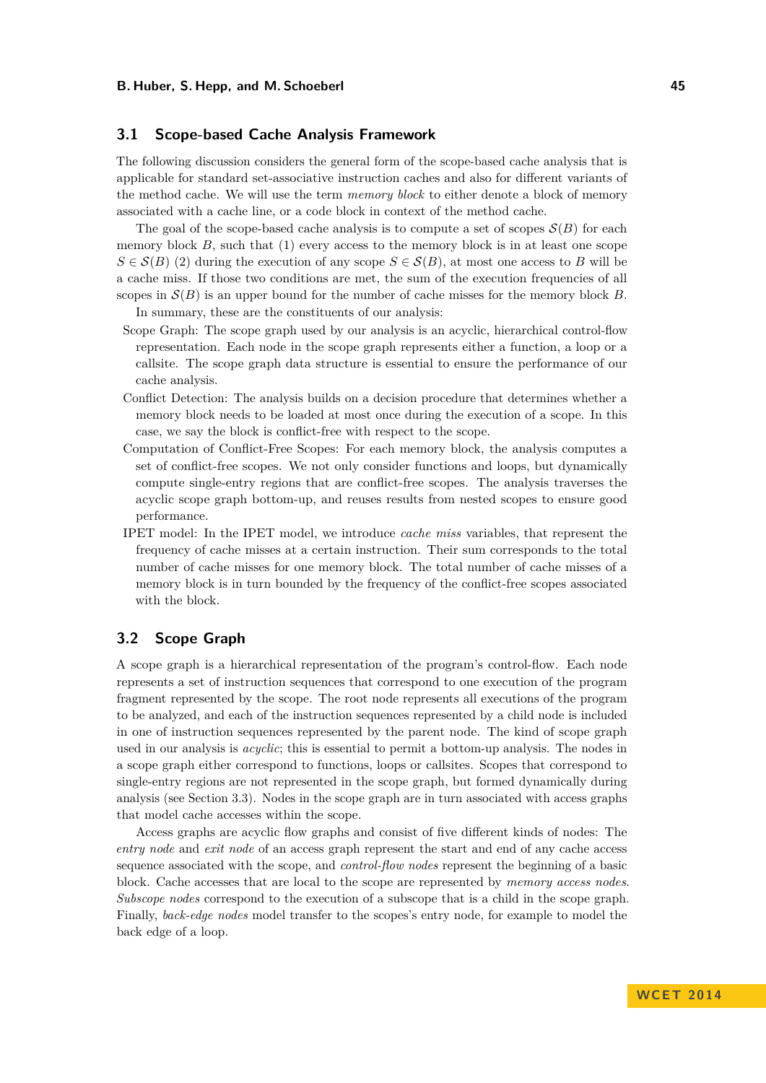## **3.1 Scope-based Cache Analysis Framework**

The following discussion considers the general form of the scope-based cache analysis that is applicable for standard set-associative instruction caches and also for different variants of the method cache. We will use the term *memory block* to either denote a block of memory associated with a cache line, or a code block in context of the method cache.

The goal of the scope-based cache analysis is to compute a set of scopes  $S(B)$  for each memory block  $B$ , such that  $(1)$  every access to the memory block is in at least one scope  $S \in \mathcal{S}(B)$  (2) during the execution of any scope  $S \in \mathcal{S}(B)$ , at most one access to *B* will be a cache miss. If those two conditions are met, the sum of the execution frequencies of all scopes in  $\mathcal{S}(B)$  is an upper bound for the number of cache misses for the memory block *B*. In summary, these are the constituents of our analysis:

- Scope Graph: The scope graph used by our analysis is an acyclic, hierarchical control-flow representation. Each node in the scope graph represents either a function, a loop or a callsite. The scope graph data structure is essential to ensure the performance of our cache analysis.
- Conflict Detection: The analysis builds on a decision procedure that determines whether a memory block needs to be loaded at most once during the execution of a scope. In this case, we say the block is conflict-free with respect to the scope.
- Computation of Conflict-Free Scopes: For each memory block, the analysis computes a set of conflict-free scopes. We not only consider functions and loops, but dynamically compute single-entry regions that are conflict-free scopes. The analysis traverses the acyclic scope graph bottom-up, and reuses results from nested scopes to ensure good performance.
- IPET model: In the IPET model, we introduce *cache miss* variables, that represent the frequency of cache misses at a certain instruction. Their sum corresponds to the total number of cache misses for one memory block. The total number of cache misses of a memory block is in turn bounded by the frequency of the conflict-free scopes associated with the block.

## **3.2 Scope Graph**

A scope graph is a hierarchical representation of the program's control-flow. Each node represents a set of instruction sequences that correspond to one execution of the program fragment represented by the scope. The root node represents all executions of the program to be analyzed, and each of the instruction sequences represented by a child node is included in one of instruction sequences represented by the parent node. The kind of scope graph used in our analysis is *acyclic*; this is essential to permit a bottom-up analysis. The nodes in a scope graph either correspond to functions, loops or callsites. Scopes that correspond to single-entry regions are not represented in the scope graph, but formed dynamically during analysis (see Section [3.3\)](#page-4-0). Nodes in the scope graph are in turn associated with access graphs that model cache accesses within the scope.

Access graphs are acyclic flow graphs and consist of five different kinds of nodes: The *entry node* and *exit node* of an access graph represent the start and end of any cache access sequence associated with the scope, and *control-flow nodes* represent the beginning of a basic block. Cache accesses that are local to the scope are represented by *memory access nodes*. *Subscope nodes* correspond to the execution of a subscope that is a child in the scope graph. Finally, *back-edge nodes* model transfer to the scopes's entry node, for example to model the back edge of a loop.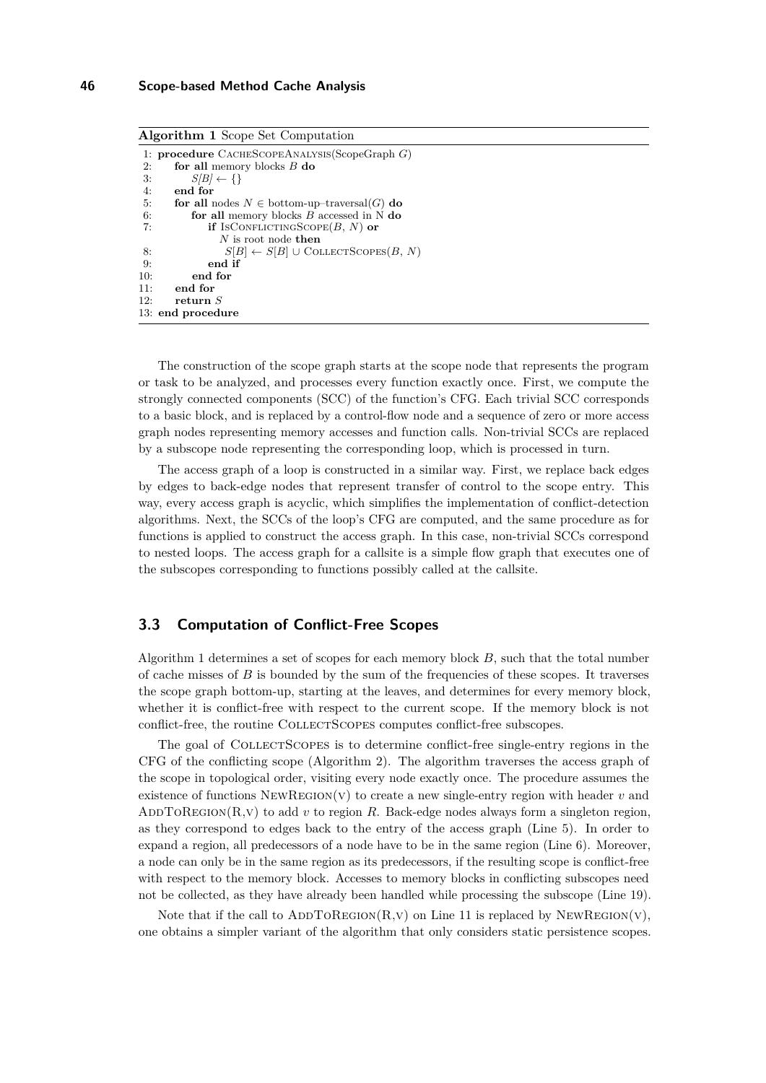<span id="page-4-1"></span>

| <b>Algorithm 1</b> Scope Set Computation                   |  |  |  |  |  |  |  |
|------------------------------------------------------------|--|--|--|--|--|--|--|
| 1: <b>procedure</b> $C$ ACHESCOPEANALYSIS(ScopeGraph $G$ ) |  |  |  |  |  |  |  |
| for all memory blocks $B$ do                               |  |  |  |  |  |  |  |
| $S/B$ $\leftarrow \{\}$                                    |  |  |  |  |  |  |  |
| end for                                                    |  |  |  |  |  |  |  |
| for all nodes $N \in$ bottom-up-traversal(G) do            |  |  |  |  |  |  |  |
| for all memory blocks $B$ accessed in N do                 |  |  |  |  |  |  |  |
| <b>if</b> IsCONFLICTINGSCOPE $(B, N)$ or                   |  |  |  |  |  |  |  |
| $N$ is root node then                                      |  |  |  |  |  |  |  |
| $S B  \leftarrow S[B] \cup \text{COLECTSOPES}(B, N)$       |  |  |  |  |  |  |  |
| end if                                                     |  |  |  |  |  |  |  |
| end for                                                    |  |  |  |  |  |  |  |
| end for                                                    |  |  |  |  |  |  |  |
| return $S$                                                 |  |  |  |  |  |  |  |
| 13: end procedure                                          |  |  |  |  |  |  |  |
|                                                            |  |  |  |  |  |  |  |

The construction of the scope graph starts at the scope node that represents the program or task to be analyzed, and processes every function exactly once. First, we compute the strongly connected components (SCC) of the function's CFG. Each trivial SCC corresponds to a basic block, and is replaced by a control-flow node and a sequence of zero or more access graph nodes representing memory accesses and function calls. Non-trivial SCCs are replaced by a subscope node representing the corresponding loop, which is processed in turn.

The access graph of a loop is constructed in a similar way. First, we replace back edges by edges to back-edge nodes that represent transfer of control to the scope entry. This way, every access graph is acyclic, which simplifies the implementation of conflict-detection algorithms. Next, the SCCs of the loop's CFG are computed, and the same procedure as for functions is applied to construct the access graph. In this case, non-trivial SCCs correspond to nested loops. The access graph for a callsite is a simple flow graph that executes one of the subscopes corresponding to functions possibly called at the callsite.

# <span id="page-4-0"></span>**3.3 Computation of Conflict-Free Scopes**

Algorithm [1](#page-4-1) determines a set of scopes for each memory block *B*, such that the total number of cache misses of *B* is bounded by the sum of the frequencies of these scopes. It traverses the scope graph bottom-up, starting at the leaves, and determines for every memory block, whether it is conflict-free with respect to the current scope. If the memory block is not conflict-free, the routine COLLECTSCOPES computes conflict-free subscopes.

The goal of COLLECTSCOPES is to determine conflict-free single-entry regions in the CFG of the conflicting scope (Algorithm [2\)](#page-5-0). The algorithm traverses the access graph of the scope in topological order, visiting every node exactly once. The procedure assumes the existence of functions  $NEWREGION(V)$  to create a new single-entry region with header  $v$  and ADDTOREGION(R, v) to add *v* to region *R*. Back-edge nodes always form a singleton region, as they correspond to edges back to the entry of the access graph (Line [5\)](#page-5-0). In order to expand a region, all predecessors of a node have to be in the same region (Line [6\)](#page-5-0). Moreover, a node can only be in the same region as its predecessors, if the resulting scope is conflict-free with respect to the memory block. Accesses to memory blocks in conflicting subscopes need not be collected, as they have already been handled while processing the subscope (Line [19\)](#page-5-0).

Note that if the call to  $ADDTOREGION(R, V)$  on Line [11](#page-5-0) is replaced by NEWREGION(V), one obtains a simpler variant of the algorithm that only considers static persistence scopes.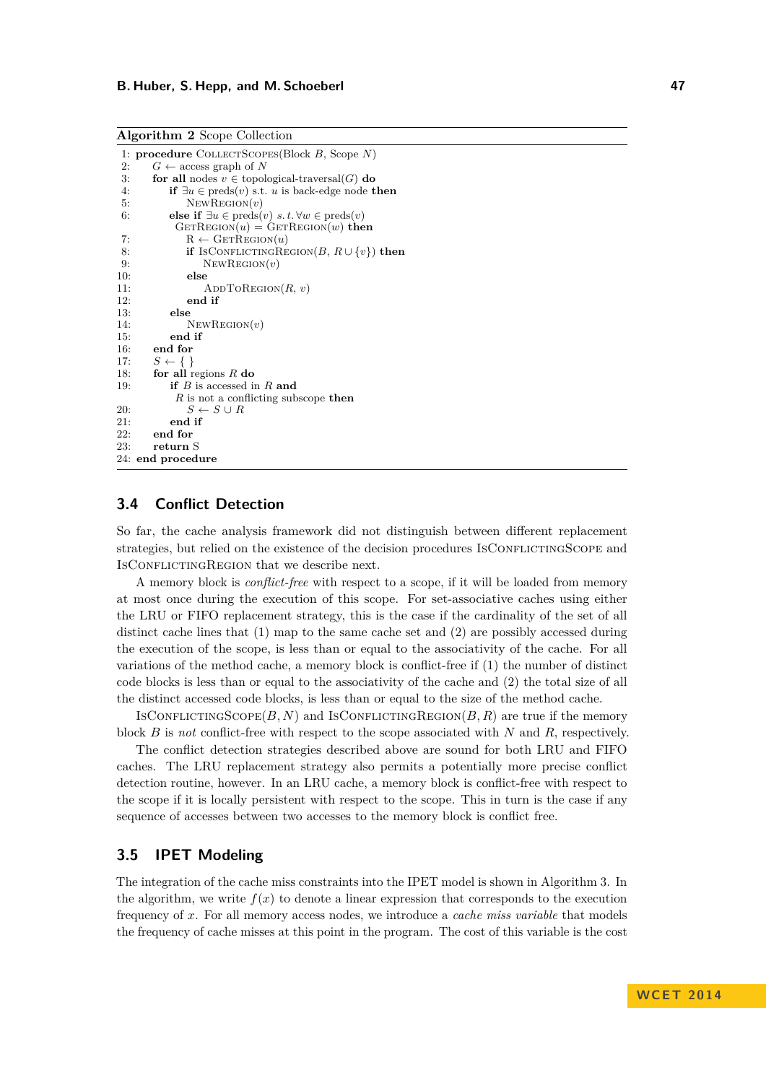```
1: procedure COLLECTSCOPES(Block B, Scope N)<br>
2. C \leftarrow access graph of N
2: G \leftarrow \arccos \text{graph of } N<br>3: for all nodes v \in \text{topol}for all nodes v \in topological-traversal(G) do
4: if \exists u \in \text{preds}(v) \text{ s.t. } u \text{ is back-edge node } \mathbf{then}<br>5: N \in \text{WREGION}(v)NewRecion(v)6: else if \exists u \in \text{preds}(v) \ s.t. \forall w \in \text{preds}(v)GETREGION(u) = GETREGION(w) then
 7: R \leftarrow \text{GETREGION}(u)8: if IsConflictingRegion(B, R \cup \{v\}) then<br>9: NEWREGION(v)
9: NewRegion(v)<br>10: else
                 10: else
11: ADDToREGION(R, v)<br>12: end if
                 end if
13: else
14: NewRegion(v)
15: end if
16: end for<br>17: S \leftarrow \{\}S \leftarrow \{\}18: for all regions R do
19: if B is accessed in R and
              R is not a conflicting subscope then
20: S \leftarrow S \cup R21: end if
         end for
23: return S
24: end procedure
```
## **3.4 Conflict Detection**

So far, the cache analysis framework did not distinguish between different replacement strategies, but relied on the existence of the decision procedures IsCONFLICTINGSCOPE and ISCONFLICTINGREGION that we describe next.

A memory block is *conflict-free* with respect to a scope, if it will be loaded from memory at most once during the execution of this scope. For set-associative caches using either the LRU or FIFO replacement strategy, this is the case if the cardinality of the set of all distinct cache lines that (1) map to the same cache set and (2) are possibly accessed during the execution of the scope, is less than or equal to the associativity of the cache. For all variations of the method cache, a memory block is conflict-free if (1) the number of distinct code blocks is less than or equal to the associativity of the cache and (2) the total size of all the distinct accessed code blocks, is less than or equal to the size of the method cache.

ISCONFLICTINGSCOPE $(B, N)$  and ISCONFLICTINGREGION $(B, R)$  are true if the memory block *B* is *not* conflict-free with respect to the scope associated with *N* and *R*, respectively.

The conflict detection strategies described above are sound for both LRU and FIFO caches. The LRU replacement strategy also permits a potentially more precise conflict detection routine, however. In an LRU cache, a memory block is conflict-free with respect to the scope if it is locally persistent with respect to the scope. This in turn is the case if any sequence of accesses between two accesses to the memory block is conflict free.

## **3.5 IPET Modeling**

The integration of the cache miss constraints into the IPET model is shown in Algorithm [3.](#page-6-1) In the algorithm, we write  $f(x)$  to denote a linear expression that corresponds to the execution frequency of *x*. For all memory access nodes, we introduce a *cache miss variable* that models the frequency of cache misses at this point in the program. The cost of this variable is the cost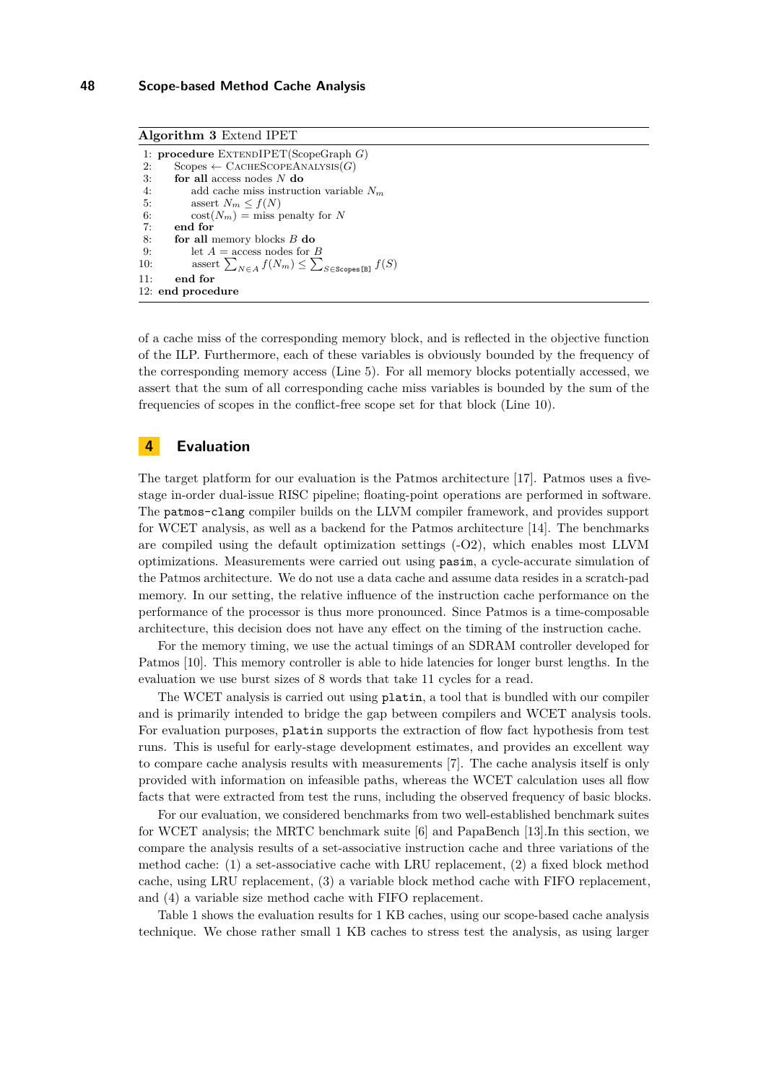<span id="page-6-1"></span>**Algorithm 3** Extend IPET

```
1: procedure EXTENDIPET(ScopeGraph G)<br>2. Scopes \leftarrow CACHESCOPEANALYSIS(G)
 2: Scopes ← CACHESCOPEANALYSIS(G)<br>3: for all access nodes N do
          3: for all access nodes N do
 4: add cache miss instruction variable N_m<br>5: assert N_m \leq f(N)5: assert N_m \le f(N)<br>6: \operatorname{cost}(N_m) = \operatorname{miss}_{\mathcal{P}}\cot(N_m) = \text{miss penalty for } N7: end for
 8: for all memory blocks B do
9: let A = \text{access nodes for } B<br>10: assert \sum_{x \in A} f(N_m) < \sum10: assert \sum_{N \in A} f(N_m) \leq \sum_{S \in \text{Scopes [B]} } f(S)11: end for
12: end procedure
```
of a cache miss of the corresponding memory block, and is reflected in the objective function of the ILP. Furthermore, each of these variables is obviously bounded by the frequency of the corresponding memory access (Line [5\)](#page-6-1). For all memory blocks potentially accessed, we assert that the sum of all corresponding cache miss variables is bounded by the sum of the frequencies of scopes in the conflict-free scope set for that block (Line [10\)](#page-6-1).

## <span id="page-6-0"></span>**4 Evaluation**

The target platform for our evaluation is the Patmos architecture [\[17\]](#page-9-0). Patmos uses a fivestage in-order dual-issue RISC pipeline; floating-point operations are performed in software. The patmos-clang compiler builds on the LLVM compiler framework, and provides support for WCET analysis, as well as a backend for the Patmos architecture [\[14\]](#page-9-6). The benchmarks are compiled using the default optimization settings (-O2), which enables most LLVM optimizations. Measurements were carried out using pasim, a cycle-accurate simulation of the Patmos architecture. We do not use a data cache and assume data resides in a scratch-pad memory. In our setting, the relative influence of the instruction cache performance on the performance of the processor is thus more pronounced. Since Patmos is a time-composable architecture, this decision does not have any effect on the timing of the instruction cache.

For the memory timing, we use the actual timings of an SDRAM controller developed for Patmos [\[10\]](#page-9-7). This memory controller is able to hide latencies for longer burst lengths. In the evaluation we use burst sizes of 8 words that take 11 cycles for a read.

The WCET analysis is carried out using platin, a tool that is bundled with our compiler and is primarily intended to bridge the gap between compilers and WCET analysis tools. For evaluation purposes, platin supports the extraction of flow fact hypothesis from test runs. This is useful for early-stage development estimates, and provides an excellent way to compare cache analysis results with measurements [\[7\]](#page-9-8). The cache analysis itself is only provided with information on infeasible paths, whereas the WCET calculation uses all flow facts that were extracted from test the runs, including the observed frequency of basic blocks.

For our evaluation, we considered benchmarks from two well-established benchmark suites for WCET analysis; the MRTC benchmark suite [\[6\]](#page-9-9) and PapaBench [\[13\]](#page-9-10).In this section, we compare the analysis results of a set-associative instruction cache and three variations of the method cache: (1) a set-associative cache with LRU replacement, (2) a fixed block method cache, using LRU replacement, (3) a variable block method cache with FIFO replacement, and (4) a variable size method cache with FIFO replacement.

Table [1](#page-7-1) shows the evaluation results for 1 KB caches, using our scope-based cache analysis technique. We chose rather small 1 KB caches to stress test the analysis, as using larger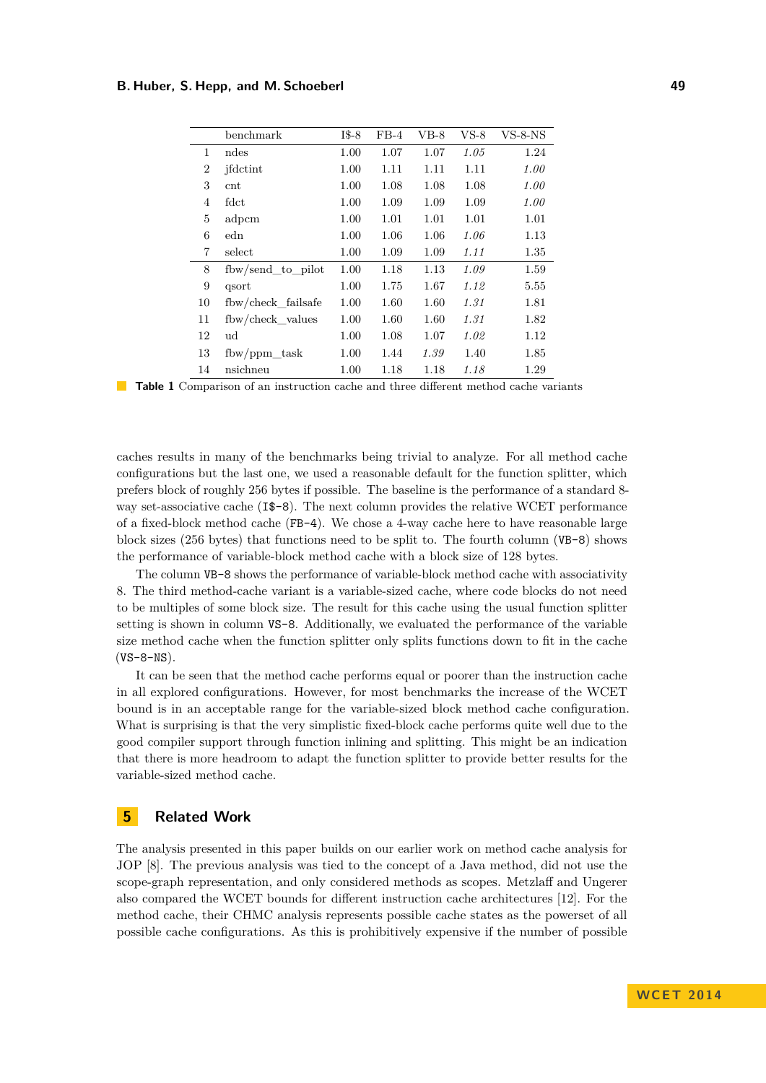#### <span id="page-7-1"></span>**B. Huber, S. Hepp, and M. Schoeberl 49**

|                | benchmark          | $I$ \$-8 | $FB-4$ | VB-8 | $VS-8$ | $VS-8-NS$ |
|----------------|--------------------|----------|--------|------|--------|-----------|
| 1              | ndes               | 1.00     | 1.07   | 1.07 | 1.05   | 1.24      |
| $\overline{2}$ | jfdctint           | 1.00     | 1.11   | 1.11 | 1.11   | 1.00      |
| 3              | $_{\rm cnt}$       | 1.00     | 1.08   | 1.08 | 1.08   | 1.00      |
| 4              | fdct               | 1.00     | 1.09   | 1.09 | 1.09   | 1.00      |
| 5              | adpcm              | 1.00     | 1.01   | 1.01 | 1.01   | 1.01      |
| 6              | edn                | 1.00     | 1.06   | 1.06 | 1.06   | 1.13      |
| 7              | select             | 1.00     | 1.09   | 1.09 | 1.11   | 1.35      |
| 8              | fbw/send to pilot  | 1.00     | 1.18   | 1.13 | 1.09   | 1.59      |
| 9              | qsort              | 1.00     | 1.75   | 1.67 | 1.12   | 5.55      |
| 10             | fbw/check failsafe | 1.00     | 1.60   | 1.60 | 1.31   | 1.81      |
| 11             | fbw/check_values   | 1.00     | 1.60   | 1.60 | 1.31   | 1.82      |
| 12             | ud                 | 1.00     | 1.08   | 1.07 | 1.02   | 1.12      |
| 13             | $f$ bw/ppm task    | 1.00     | 1.44   | 1.39 | 1.40   | 1.85      |
| 14             | nsichneu           | 1.00     | 1.18   | 1.18 | 1.18   | 1.29      |

**Table 1** Comparison of an instruction cache and three different method cache variants

caches results in many of the benchmarks being trivial to analyze. For all method cache configurations but the last one, we used a reasonable default for the function splitter, which prefers block of roughly 256 bytes if possible. The baseline is the performance of a standard 8 way set-associative cache (I\$-8). The next column provides the relative WCET performance of a fixed-block method cache (FB-4). We chose a 4-way cache here to have reasonable large block sizes (256 bytes) that functions need to be split to. The fourth column (VB-8) shows the performance of variable-block method cache with a block size of 128 bytes.

The column VB-8 shows the performance of variable-block method cache with associativity 8. The third method-cache variant is a variable-sized cache, where code blocks do not need to be multiples of some block size. The result for this cache using the usual function splitter setting is shown in column VS-8. Additionally, we evaluated the performance of the variable size method cache when the function splitter only splits functions down to fit in the cache  $(VS-8-NS)$ .

It can be seen that the method cache performs equal or poorer than the instruction cache in all explored configurations. However, for most benchmarks the increase of the WCET bound is in an acceptable range for the variable-sized block method cache configuration. What is surprising is that the very simplistic fixed-block cache performs quite well due to the good compiler support through function inlining and splitting. This might be an indication that there is more headroom to adapt the function splitter to provide better results for the variable-sized method cache.

# <span id="page-7-0"></span>**5 Related Work**

The analysis presented in this paper builds on our earlier work on method cache analysis for JOP [\[8\]](#page-9-11). The previous analysis was tied to the concept of a Java method, did not use the scope-graph representation, and only considered methods as scopes. Metzlaff and Ungerer also compared the WCET bounds for different instruction cache architectures [\[12\]](#page-9-12). For the method cache, their CHMC analysis represents possible cache states as the powerset of all possible cache configurations. As this is prohibitively expensive if the number of possible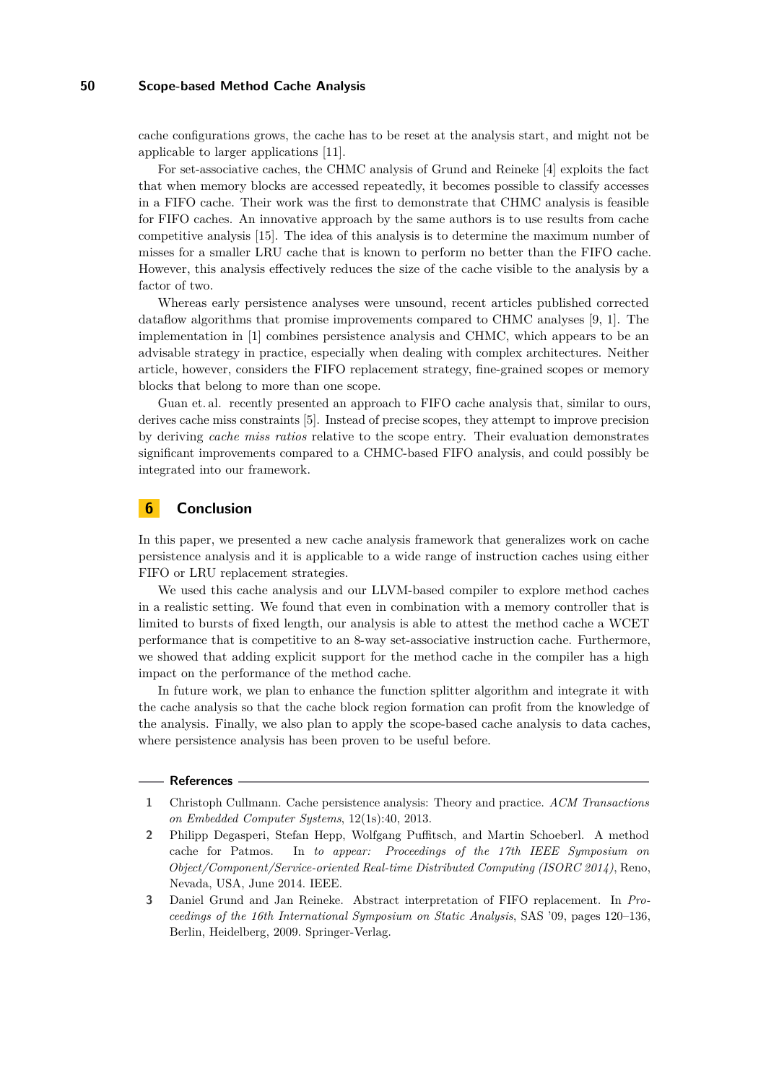#### **50 Scope-based Method Cache Analysis**

cache configurations grows, the cache has to be reset at the analysis start, and might not be applicable to larger applications [\[11\]](#page-9-13).

For set-associative caches, the CHMC analysis of Grund and Reineke [\[4\]](#page-9-4) exploits the fact that when memory blocks are accessed repeatedly, it becomes possible to classify accesses in a FIFO cache. Their work was the first to demonstrate that CHMC analysis is feasible for FIFO caches. An innovative approach by the same authors is to use results from cache competitive analysis [\[15\]](#page-9-14). The idea of this analysis is to determine the maximum number of misses for a smaller LRU cache that is known to perform no better than the FIFO cache. However, this analysis effectively reduces the size of the cache visible to the analysis by a factor of two.

Whereas early persistence analyses were unsound, recent articles published corrected dataflow algorithms that promise improvements compared to CHMC analyses [\[9,](#page-9-5) [1\]](#page-8-0). The implementation in [\[1\]](#page-8-0) combines persistence analysis and CHMC, which appears to be an advisable strategy in practice, especially when dealing with complex architectures. Neither article, however, considers the FIFO replacement strategy, fine-grained scopes or memory blocks that belong to more than one scope.

Guan et. al. recently presented an approach to FIFO cache analysis that, similar to ours, derives cache miss constraints [\[5\]](#page-9-15). Instead of precise scopes, they attempt to improve precision by deriving *cache miss ratios* relative to the scope entry. Their evaluation demonstrates significant improvements compared to a CHMC-based FIFO analysis, and could possibly be integrated into our framework.

# <span id="page-8-1"></span>**6 Conclusion**

In this paper, we presented a new cache analysis framework that generalizes work on cache persistence analysis and it is applicable to a wide range of instruction caches using either FIFO or LRU replacement strategies.

We used this cache analysis and our LLVM-based compiler to explore method caches in a realistic setting. We found that even in combination with a memory controller that is limited to bursts of fixed length, our analysis is able to attest the method cache a WCET performance that is competitive to an 8-way set-associative instruction cache. Furthermore, we showed that adding explicit support for the method cache in the compiler has a high impact on the performance of the method cache.

In future work, we plan to enhance the function splitter algorithm and integrate it with the cache analysis so that the cache block region formation can profit from the knowledge of the analysis. Finally, we also plan to apply the scope-based cache analysis to data caches, where persistence analysis has been proven to be useful before.

#### **References**

- <span id="page-8-0"></span>**1** Christoph Cullmann. Cache persistence analysis: Theory and practice. *ACM Transactions on Embedded Computer Systems*, 12(1s):40, 2013.
- <span id="page-8-2"></span>**2** Philipp Degasperi, Stefan Hepp, Wolfgang Puffitsch, and Martin Schoeberl. A method cache for Patmos. In *to appear: Proceedings of the 17th IEEE Symposium on Object/Component/Service-oriented Real-time Distributed Computing (ISORC 2014)*, Reno, Nevada, USA, June 2014. IEEE.
- <span id="page-8-3"></span>**3** Daniel Grund and Jan Reineke. Abstract interpretation of FIFO replacement. In *Proceedings of the 16th International Symposium on Static Analysis*, SAS '09, pages 120–136, Berlin, Heidelberg, 2009. Springer-Verlag.